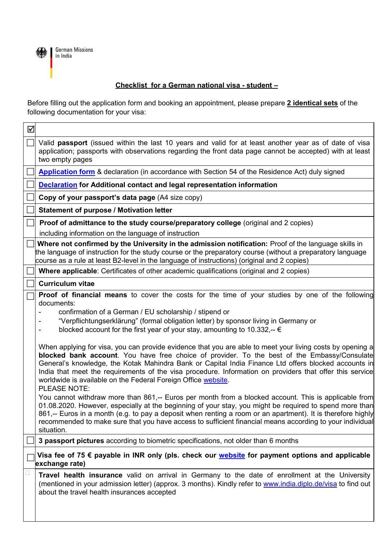

## **Checklist for a German national visa - student –**

Before filling out the application form and booking an appointment, please prepare **2 identical sets** of the following documentation for your visa:

| ☑                                                                                                                                 |                                                                                                                                                                                                                                                                                                                                                                                                                                                                                                                                                                                                                                                                                                                                                                                                                                                                                                                                                                                                                                                                                                                                                                                                                                                                                                                                                    |
|-----------------------------------------------------------------------------------------------------------------------------------|----------------------------------------------------------------------------------------------------------------------------------------------------------------------------------------------------------------------------------------------------------------------------------------------------------------------------------------------------------------------------------------------------------------------------------------------------------------------------------------------------------------------------------------------------------------------------------------------------------------------------------------------------------------------------------------------------------------------------------------------------------------------------------------------------------------------------------------------------------------------------------------------------------------------------------------------------------------------------------------------------------------------------------------------------------------------------------------------------------------------------------------------------------------------------------------------------------------------------------------------------------------------------------------------------------------------------------------------------|
|                                                                                                                                   | Valid passport (issued within the last 10 years and valid for at least another year as of date of visa<br>application; passports with observations regarding the front data page cannot be accepted) with at least<br>two empty pages                                                                                                                                                                                                                                                                                                                                                                                                                                                                                                                                                                                                                                                                                                                                                                                                                                                                                                                                                                                                                                                                                                              |
|                                                                                                                                   | Application form & declaration (in accordance with Section 54 of the Residence Act) duly signed                                                                                                                                                                                                                                                                                                                                                                                                                                                                                                                                                                                                                                                                                                                                                                                                                                                                                                                                                                                                                                                                                                                                                                                                                                                    |
|                                                                                                                                   | <b>Declaration</b> for Additional contact and legal representation information                                                                                                                                                                                                                                                                                                                                                                                                                                                                                                                                                                                                                                                                                                                                                                                                                                                                                                                                                                                                                                                                                                                                                                                                                                                                     |
|                                                                                                                                   | Copy of your passport's data page (A4 size copy)                                                                                                                                                                                                                                                                                                                                                                                                                                                                                                                                                                                                                                                                                                                                                                                                                                                                                                                                                                                                                                                                                                                                                                                                                                                                                                   |
|                                                                                                                                   | Statement of purpose / Motivation letter                                                                                                                                                                                                                                                                                                                                                                                                                                                                                                                                                                                                                                                                                                                                                                                                                                                                                                                                                                                                                                                                                                                                                                                                                                                                                                           |
|                                                                                                                                   | Proof of admittance to the study course/preparatory college (original and 2 copies)<br>including information on the language of instruction                                                                                                                                                                                                                                                                                                                                                                                                                                                                                                                                                                                                                                                                                                                                                                                                                                                                                                                                                                                                                                                                                                                                                                                                        |
|                                                                                                                                   | Where not confirmed by the University in the admission notification: Proof of the language skills in<br>the language of instruction for the study course or the preparatory course (without a preparatory language<br>course as a rule at least B2-level in the language of instructions) (original and 2 copies)                                                                                                                                                                                                                                                                                                                                                                                                                                                                                                                                                                                                                                                                                                                                                                                                                                                                                                                                                                                                                                  |
|                                                                                                                                   | <b>Where applicable:</b> Certificates of other academic qualifications (original and 2 copies)                                                                                                                                                                                                                                                                                                                                                                                                                                                                                                                                                                                                                                                                                                                                                                                                                                                                                                                                                                                                                                                                                                                                                                                                                                                     |
|                                                                                                                                   | <b>Curriculum vitae</b>                                                                                                                                                                                                                                                                                                                                                                                                                                                                                                                                                                                                                                                                                                                                                                                                                                                                                                                                                                                                                                                                                                                                                                                                                                                                                                                            |
|                                                                                                                                   | <b>Proof of financial means</b> to cover the costs for the time of your studies by one of the following<br>documents:<br>confirmation of a German / EU scholarship / stipend or<br>"Verpflichtungserklärung" (formal obligation letter) by sponsor living in Germany or<br>blocked account for the first year of your stay, amounting to 10.332,-- $\epsilon$<br>When applying for visa, you can provide evidence that you are able to meet your living costs by opening a<br>blocked bank account. You have free choice of provider. To the best of the Embassy/Consulate<br>General's knowledge, the Kotak Mahindra Bank or Capital India Finance Ltd offers blocked accounts in<br>India that meet the requirements of the visa procedure. Information on providers that offer this service<br>worldwide is available on the Federal Foreign Office website.<br><b>PLEASE NOTE:</b><br>You cannot withdraw more than 861,-- Euros per month from a blocked account. This is applicable from<br>01.08.2020. However, especially at the beginning of your stay, you might be required to spend more than<br>861,-- Euros in a month (e.g. to pay a deposit when renting a room or an apartment). It is therefore highly<br>recommended to make sure that you have access to sufficient financial means according to your individual<br>situation. |
|                                                                                                                                   | 3 passport pictures according to biometric specifications, not older than 6 months                                                                                                                                                                                                                                                                                                                                                                                                                                                                                                                                                                                                                                                                                                                                                                                                                                                                                                                                                                                                                                                                                                                                                                                                                                                                 |
| Visa fee of 75 $\epsilon$ payable in INR only (pls. check our <i>website</i> for payment options and applicable<br>exchange rate) |                                                                                                                                                                                                                                                                                                                                                                                                                                                                                                                                                                                                                                                                                                                                                                                                                                                                                                                                                                                                                                                                                                                                                                                                                                                                                                                                                    |
|                                                                                                                                   | Travel health insurance valid on arrival in Germany to the date of enrollment at the University<br>(mentioned in your admission letter) (approx. 3 months). Kindly refer to www.india.diplo.de/visa to find out<br>about the travel health insurances accepted                                                                                                                                                                                                                                                                                                                                                                                                                                                                                                                                                                                                                                                                                                                                                                                                                                                                                                                                                                                                                                                                                     |